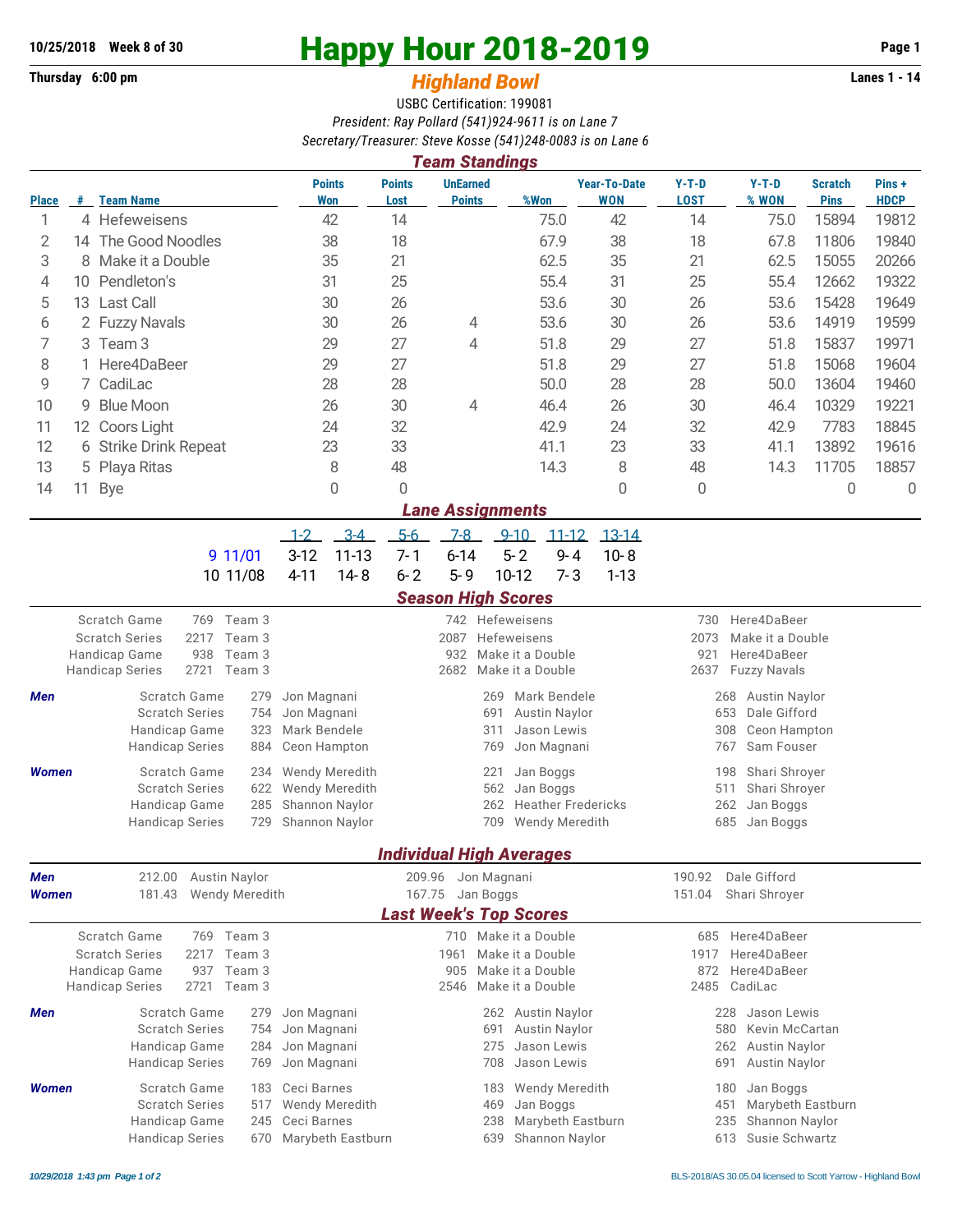## **Thursday 6:00 pm** *Highland Bowl*

## **10/25/2018** Week 8 of 30<br>
Thursday 6:00 pm<br> **Happy Hour 2018-2019 Page 1**<br> **Highland Rowl**

## USBC Certification: 199081 *President: Ray Pollard (541)924-9611 is on Lane 7 Secretary/Treasurer: Steve Kosse (541)248-0083 is on Lane 6*

| <b>Team Standings</b>      |                |                                                                            |                                                                     |                                                   |                                              |                                                    |                                            |                                             |                                                |                               |                      |  |  |  |
|----------------------------|----------------|----------------------------------------------------------------------------|---------------------------------------------------------------------|---------------------------------------------------|----------------------------------------------|----------------------------------------------------|--------------------------------------------|---------------------------------------------|------------------------------------------------|-------------------------------|----------------------|--|--|--|
| <b>Place</b>               | #              | <b>Team Name</b>                                                           | <b>Points</b><br>Won                                                | <b>Points</b><br>Lost                             | <b>UnEarned</b><br><b>Points</b>             | %Won                                               | <b>Year-To-Date</b><br><b>WON</b>          | $Y-T-D$<br><b>LOST</b>                      | $Y-T-D$<br>% WON                               | <b>Scratch</b><br><b>Pins</b> | Pins+<br><b>HDCP</b> |  |  |  |
| 1                          |                | 4 Hefeweisens                                                              | 42                                                                  | 14                                                |                                              | 75.0                                               | 42                                         | 14                                          | 75.0                                           | 15894                         | 19812                |  |  |  |
| $\mathbf{2}$               |                | 14 The Good Noodles                                                        | 38                                                                  | 18                                                |                                              | 67.9                                               | 38                                         | 18                                          | 67.8                                           | 11806                         | 19840                |  |  |  |
| 3                          |                | 8 Make it a Double                                                         | 35                                                                  | 21                                                |                                              | 62.5                                               | 35                                         | 21                                          | 62.5                                           | 15055                         | 20266                |  |  |  |
| 4                          | 10             | Pendleton's                                                                | 31                                                                  |                                                   |                                              | 55.4                                               | 31                                         | 25                                          | 55.4                                           | 12662                         | 19322                |  |  |  |
| 5                          |                | 13 Last Call                                                               | 30                                                                  | 26                                                |                                              | 53.6                                               | 30                                         | 26                                          | 53.6                                           | 15428                         | 19649                |  |  |  |
| 6                          | 2 Fuzzy Navals |                                                                            | 30                                                                  | 26                                                | 4                                            | 53.6                                               | 30                                         | 26                                          | 53.6                                           | 14919                         | 19599                |  |  |  |
| 7                          | 3 Team 3       |                                                                            | 29                                                                  | 27                                                | 4                                            | 51.8                                               | 29                                         | 27                                          | 51.8                                           | 15837                         | 19971                |  |  |  |
| 8                          | 1 Here4DaBeer  |                                                                            | 29                                                                  | 27                                                |                                              | 51.8                                               | 29                                         | 27                                          | 51.8                                           | 15068                         | 19604                |  |  |  |
| 9                          |                | 7 CadiLac                                                                  | 28                                                                  | 28                                                |                                              | 50.0                                               | 28                                         | 28                                          | 50.0                                           | 13604                         | 19460                |  |  |  |
| 10                         | 9              | <b>Blue Moon</b>                                                           | 26                                                                  | 30                                                | 4                                            | 46.4                                               | 26                                         | 30                                          | 46.4                                           | 10329                         | 19221                |  |  |  |
| 11                         | 12             | Coors Light                                                                | 24                                                                  | 32                                                |                                              | 42.9                                               | 24                                         | 32                                          | 42.9                                           | 7783                          | 18845                |  |  |  |
| 12                         | 6.             | <b>Strike Drink Repeat</b>                                                 | 23                                                                  | 33                                                |                                              | 41.1                                               | 23                                         | 33                                          | 41.1                                           | 13892                         | 19616                |  |  |  |
| 13                         | 5 Playa Ritas  |                                                                            | 8                                                                   | 48                                                |                                              | 14.3                                               | 8                                          | 48                                          | 14.3                                           | 11705                         | 18857                |  |  |  |
| 14                         |                | 11 Bye                                                                     | 0                                                                   | 0                                                 |                                              |                                                    | 0                                          | 0                                           |                                                | 0                             | $\overline{0}$       |  |  |  |
| <b>Lane Assignments</b>    |                |                                                                            |                                                                     |                                                   |                                              |                                                    |                                            |                                             |                                                |                               |                      |  |  |  |
|                            |                |                                                                            | $3-4$<br>$1 - 2$                                                    | $5-6$                                             | $7-8$                                        | $9 - 10$<br>$11 - 12$                              | $13 - 14$                                  |                                             |                                                |                               |                      |  |  |  |
|                            |                | 9 11/01                                                                    | $3-12$<br>$11 - 13$                                                 | $7 - 1$                                           | $6 - 14$                                     | $5 - 2$<br>$9 - 4$                                 | $10 - 8$                                   |                                             |                                                |                               |                      |  |  |  |
|                            |                | 10 11/08                                                                   | $4 - 11$<br>$14 - 8$                                                | $6 - 2$                                           | $5 - 9$                                      | 10-12<br>$7 - 3$                                   | $1 - 13$                                   |                                             |                                                |                               |                      |  |  |  |
|                            |                |                                                                            |                                                                     |                                                   | <b>Season High Scores</b>                    |                                                    |                                            |                                             |                                                |                               |                      |  |  |  |
| Scratch Game<br>769 Team 3 |                |                                                                            |                                                                     |                                                   |                                              | 742 Hefeweisens                                    |                                            | Here4DaBeer<br>730                          |                                                |                               |                      |  |  |  |
|                            |                | 2217<br><b>Scratch Series</b><br>Team 3                                    | 2087<br>Hefeweisens<br>Make it a Double                             |                                                   |                                              |                                                    |                                            |                                             | 2073<br>Make it a Double<br>921<br>Here4DaBeer |                               |                      |  |  |  |
|                            |                | Handicap Game<br>938<br>Team 3<br>2721 Team 3<br><b>Handicap Series</b>    |                                                                     |                                                   | 932<br>2682                                  | Make it a Double                                   |                                            | <b>Fuzzy Navals</b><br>2637                 |                                                |                               |                      |  |  |  |
| Men                        |                | Scratch Game                                                               |                                                                     | <b>Austin Naylor</b><br>268                       |                                              |                                                    |                                            |                                             |                                                |                               |                      |  |  |  |
|                            |                | 279<br><b>Scratch Series</b><br>754                                        | Jon Magnani<br>Jon Magnani                                          |                                                   |                                              | Mark Bendele<br>269<br><b>Austin Naylor</b><br>691 |                                            | 653<br>Dale Gifford                         |                                                |                               |                      |  |  |  |
|                            |                | 323<br>Handicap Game                                                       | Jason Lewis<br>Mark Bendele<br>311                                  |                                                   |                                              |                                                    |                                            |                                             | 308<br>Ceon Hampton                            |                               |                      |  |  |  |
|                            |                | <b>Handicap Series</b><br>884                                              | Ceon Hampton<br>Jon Magnani<br>769                                  |                                                   |                                              |                                                    |                                            |                                             | 767<br>Sam Fouser                              |                               |                      |  |  |  |
| <b>Women</b>               |                | Scratch Game<br>234                                                        | Wendy Meredith                                                      | 221<br>Jan Boggs                                  |                                              |                                                    |                                            |                                             |                                                | Shari Shroyer<br>198          |                      |  |  |  |
|                            |                | <b>Scratch Series</b><br>622                                               | Wendy Meredith                                                      |                                                   | 562                                          | Jan Boggs                                          |                                            | 511<br>Shari Shroyer                        |                                                |                               |                      |  |  |  |
|                            |                | 285<br>Handicap Game                                                       | Shannon Naylor                                                      |                                                   |                                              | 262<br><b>Heather Fredericks</b>                   |                                            |                                             | 262<br>Jan Boggs                               |                               |                      |  |  |  |
|                            |                | <b>Handicap Series</b><br>729                                              | Shannon Naylor                                                      |                                                   |                                              | Wendy Meredith<br>709                              |                                            | 685<br>Jan Boggs                            |                                                |                               |                      |  |  |  |
|                            |                |                                                                            |                                                                     |                                                   |                                              | <b>Individual High Averages</b>                    |                                            |                                             |                                                |                               |                      |  |  |  |
| Men                        |                | 212.00<br>Austin Naylor                                                    |                                                                     | 209.96                                            |                                              | Jon Magnani                                        |                                            | 190.92                                      | Dale Gifford                                   |                               |                      |  |  |  |
| Women                      |                | 181.43<br>Wendy Meredith                                                   |                                                                     | 167.75                                            | Jan Boggs                                    |                                                    |                                            | 151.04                                      | Shari Shroyer                                  |                               |                      |  |  |  |
|                            |                |                                                                            |                                                                     |                                                   |                                              | <b>Last Week's Top Scores</b>                      |                                            |                                             |                                                |                               |                      |  |  |  |
|                            |                | Scratch Game<br>769<br>Team 3                                              |                                                                     |                                                   |                                              | 710 Make it a Double                               |                                            | 685                                         | Here4DaBeer                                    |                               |                      |  |  |  |
|                            |                | <b>Scratch Series</b><br>2217<br>Team 3                                    |                                                                     |                                                   | Make it a Double<br>1961                     |                                                    |                                            | Here4DaBeer<br>1917                         |                                                |                               |                      |  |  |  |
|                            |                | Handicap Game<br>937<br>Team 3<br>2721<br><b>Handicap Series</b><br>Team 3 |                                                                     |                                                   | 905<br>2546                                  | Make it a Double<br>Make it a Double               |                                            | 872<br>2485                                 | Here4DaBeer<br>CadiLac                         |                               |                      |  |  |  |
|                            |                |                                                                            |                                                                     |                                                   |                                              |                                                    |                                            |                                             |                                                |                               |                      |  |  |  |
| Men                        |                | Scratch Game<br>279<br><b>Scratch Series</b><br>754                        | Jon Magnani<br>Jon Magnani                                          | 262 Austin Naylor<br>Austin Naylor<br>691         |                                              |                                                    |                                            | 228<br>Jason Lewis<br>580<br>Kevin McCartan |                                                |                               |                      |  |  |  |
|                            |                | Handicap Game<br>284                                                       | Jon Magnani                                                         | 275                                               |                                              |                                                    | Jason Lewis<br><b>Austin Naylor</b><br>262 |                                             |                                                |                               |                      |  |  |  |
|                            |                | <b>Handicap Series</b><br>769                                              | Jon Magnani                                                         | Jason Lewis<br>708<br>691                         |                                              |                                                    |                                            |                                             | Austin Naylor                                  |                               |                      |  |  |  |
| <b>Women</b>               |                | Scratch Game<br>183                                                        | Ceci Barnes                                                         |                                                   |                                              | <b>Wendy Meredith</b><br>183                       |                                            |                                             | Jan Boggs<br>180                               |                               |                      |  |  |  |
|                            |                | <b>Scratch Series</b><br>517                                               | Wendy Meredith                                                      |                                                   | Marybeth Eastburn<br>469<br>Jan Boggs<br>451 |                                                    |                                            |                                             |                                                |                               |                      |  |  |  |
|                            |                | Handicap Game<br>245                                                       | Ceci Barnes                                                         | Marybeth Eastburn<br>Shannon Naylor<br>238<br>235 |                                              |                                                    |                                            |                                             |                                                |                               |                      |  |  |  |
|                            |                | <b>Handicap Series</b><br>670                                              | Shannon Naylor<br>Susie Schwartz<br>Marybeth Eastburn<br>613<br>639 |                                                   |                                              |                                                    |                                            |                                             |                                                |                               |                      |  |  |  |